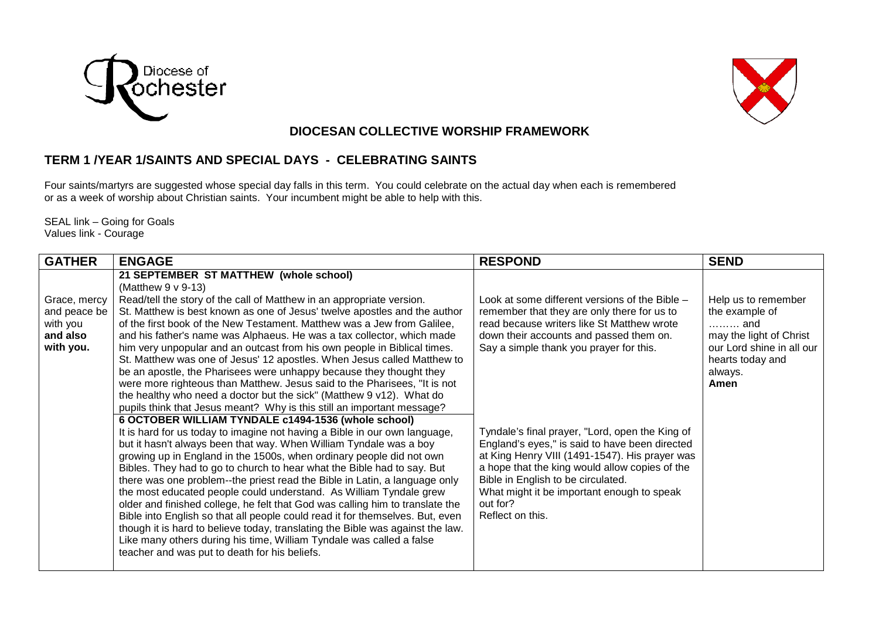



## **DIOCESAN COLLECTIVE WORSHIP FRAMEWORK**

## **TERM 1 /YEAR 1/SAINTS AND SPECIAL DAYS - CELEBRATING SAINTS**

Four saints/martyrs are suggested whose special day falls in this term. You could celebrate on the actual day when each is remembered or as a week of worship about Christian saints. Your incumbent might be able to help with this.

SEAL link – Going for Goals Values link - Courage

| Help us to remember       |
|---------------------------|
| the example of            |
|                           |
| may the light of Christ   |
| our Lord shine in all our |
| hearts today and          |
|                           |
|                           |
|                           |
|                           |
|                           |
|                           |
|                           |
|                           |
|                           |
|                           |
|                           |
|                           |
|                           |
|                           |
|                           |
|                           |
|                           |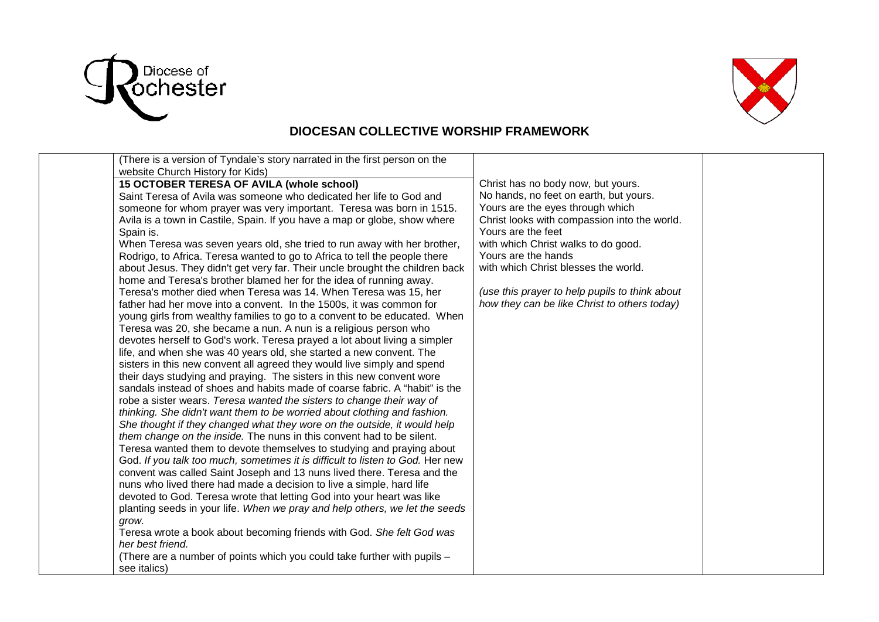



## **DIOCESAN COLLECTIVE WORSHIP FRAMEWORK**

| (There is a version of Tyndale's story narrated in the first person on the     |                                                |  |
|--------------------------------------------------------------------------------|------------------------------------------------|--|
| website Church History for Kids)                                               |                                                |  |
| 15 OCTOBER TERESA OF AVILA (whole school)                                      | Christ has no body now, but yours.             |  |
| Saint Teresa of Avila was someone who dedicated her life to God and            | No hands, no feet on earth, but yours.         |  |
| someone for whom prayer was very important. Teresa was born in 1515.           | Yours are the eyes through which               |  |
| Avila is a town in Castile, Spain. If you have a map or globe, show where      | Christ looks with compassion into the world.   |  |
| Spain is.                                                                      | Yours are the feet                             |  |
| When Teresa was seven years old, she tried to run away with her brother,       | with which Christ walks to do good.            |  |
| Rodrigo, to Africa. Teresa wanted to go to Africa to tell the people there     | Yours are the hands                            |  |
| about Jesus. They didn't get very far. Their uncle brought the children back   | with which Christ blesses the world.           |  |
| home and Teresa's brother blamed her for the idea of running away.             |                                                |  |
| Teresa's mother died when Teresa was 14. When Teresa was 15, her               | (use this prayer to help pupils to think about |  |
| father had her move into a convent. In the 1500s, it was common for            | how they can be like Christ to others today)   |  |
| young girls from wealthy families to go to a convent to be educated. When      |                                                |  |
| Teresa was 20, she became a nun. A nun is a religious person who               |                                                |  |
| devotes herself to God's work. Teresa prayed a lot about living a simpler      |                                                |  |
| life, and when she was 40 years old, she started a new convent. The            |                                                |  |
| sisters in this new convent all agreed they would live simply and spend        |                                                |  |
| their days studying and praying. The sisters in this new convent wore          |                                                |  |
| sandals instead of shoes and habits made of coarse fabric. A "habit" is the    |                                                |  |
| robe a sister wears. Teresa wanted the sisters to change their way of          |                                                |  |
| thinking. She didn't want them to be worried about clothing and fashion.       |                                                |  |
| She thought if they changed what they wore on the outside, it would help       |                                                |  |
| them change on the inside. The nuns in this convent had to be silent.          |                                                |  |
| Teresa wanted them to devote themselves to studying and praying about          |                                                |  |
| God. If you talk too much, sometimes it is difficult to listen to God. Her new |                                                |  |
| convent was called Saint Joseph and 13 nuns lived there. Teresa and the        |                                                |  |
| nuns who lived there had made a decision to live a simple, hard life           |                                                |  |
| devoted to God. Teresa wrote that letting God into your heart was like         |                                                |  |
| planting seeds in your life. When we pray and help others, we let the seeds    |                                                |  |
| grow.                                                                          |                                                |  |
| Teresa wrote a book about becoming friends with God. She felt God was          |                                                |  |
| her best friend.                                                               |                                                |  |
| (There are a number of points which you could take further with pupils -       |                                                |  |
| see italics)                                                                   |                                                |  |